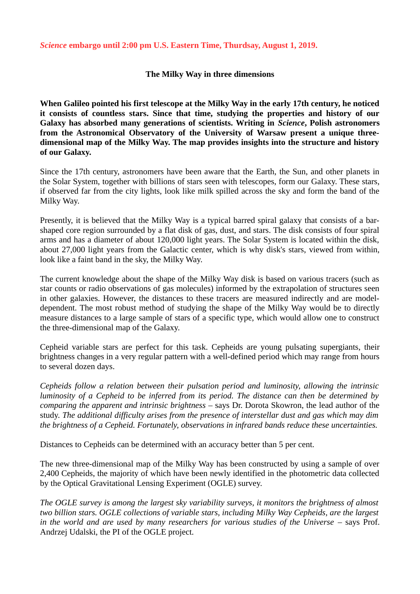#### *Science* **embargo until 2:00 pm U.S. Eastern Time, Thurdsay, August 1, 2019.**

## **The Milky Way in three dimensions**

**When Galileo pointed his first telescope at the Milky Way in the early 17th century, he noticed it consists of countless stars. Since that time, studying the properties and history of our Galaxy has absorbed many generations of scientists. Writing in** *Science***, Polish astronomers from the Astronomical Observatory of the University of Warsaw present a unique threedimensional map of the Milky Way. The map provides insights into the structure and history of our Galaxy.**

Since the 17th century, astronomers have been aware that the Earth, the Sun, and other planets in the Solar System, together with billions of stars seen with telescopes, form our Galaxy. These stars, if observed far from the city lights, look like milk spilled across the sky and form the band of the Milky Way.

Presently, it is believed that the Milky Way is a typical barred spiral galaxy that consists of a barshaped core region surrounded by a flat disk of gas, dust, and stars. The disk consists of four spiral arms and has a diameter of about 120,000 light years. The Solar System is located within the disk, about 27,000 light years from the Galactic center, which is why disk's stars, viewed from within, look like a faint band in the sky, the Milky Way.

The current knowledge about the shape of the Milky Way disk is based on various tracers (such as star counts or radio observations of gas molecules) informed by the extrapolation of structures seen in other galaxies. However, the distances to these tracers are measured indirectly and are modeldependent. The most robust method of studying the shape of the Milky Way would be to directly measure distances to a large sample of stars of a specific type, which would allow one to construct the three-dimensional map of the Galaxy.

Cepheid variable stars are perfect for this task. Cepheids are young pulsating supergiants, their brightness changes in a very regular pattern with a well-defined period which may range from hours to several dozen days.

*Cepheids follow a relation between their pulsation period and luminosity, allowing the intrinsic luminosity of a Cepheid to be inferred from its period. The distance can then be determined by comparing the apparent and intrinsic brightness* – says Dr. Dorota Skowron, the lead author of the study. *The additional difficulty arises from the presence of interstellar dust and gas which may dim the brightness of a Cepheid. Fortunately, observations in infrared bands reduce these uncertainties.*

Distances to Cepheids can be determined with an accuracy better than 5 per cent.

The new three-dimensional map of the Milky Way has been constructed by using a sample of over 2,400 Cepheids, the majority of which have been newly identified in the photometric data collected by the Optical Gravitational Lensing Experiment (OGLE) survey.

*The OGLE survey is among the largest sky variability surveys, it monitors the brightness of almost two billion stars. OGLE collections of variable stars, including Milky Way Cepheids, are the largest* in the world and are used by many researchers for various studies of the Universe – says Prof. Andrzej Udalski, the PI of the OGLE project.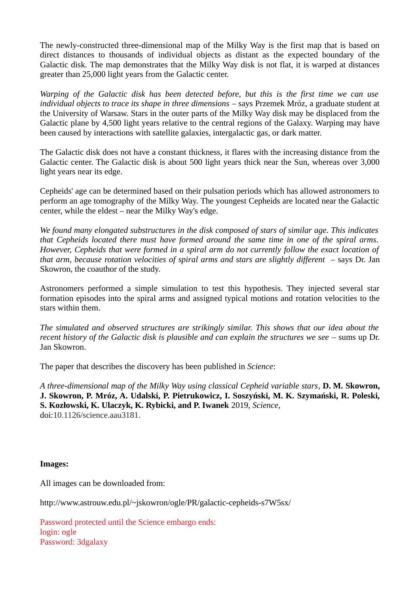The newly-constructed three-dimensional map of the Milky Way is the first map that is based on direct distances to thousands of individual objects as distant as the expected boundary of the Galactic disk. The map demonstrates that the Milky Way disk is not flat, it is warped at distances greater than 25,000 light years from the Galactic center.

*Warping of the Galactic disk has been detected before, but this is the first time we can use individual objects to trace its shape in three dimensions* – says Przemek Mróz, a graduate student at the University of Warsaw. Stars in the outer parts of the Milky Way disk may be displaced from the Galactic plane by 4,500 light years relative to the central regions of the Galaxy. Warping may have been caused by interactions with satellite galaxies, intergalactic gas, or dark matter.

The Galactic disk does not have a constant thickness, it flares with the increasing distance from the Galactic center. The Galactic disk is about 500 light years thick near the Sun, whereas over 3,000 light years near its edge.

Cepheids' age can be determined based on their pulsation periods which has allowed astronomers to perform an age tomography of the Milky Way. The youngest Cepheids are located near the Galactic center, while the eldest – near the Milky Way's edge.

*We found many elongated substructures in the disk composed of stars of similar age. This indicates that Cepheids located there must have formed around the same time in one of the spiral arms. However, Cepheids that were formed in a spiral arm do not currently follow the exact location of that arm, because rotation velocities of spiral arms and stars are slightly different* – says Dr. Jan Skowron, the coauthor of the study.

Astronomers performed a simple simulation to test this hypothesis. They injected several star formation episodes into the spiral arms and assigned typical motions and rotation velocities to the stars within them.

*The simulated and observed structures are strikingly similar. This shows that our idea about the recent history of the Galactic disk is plausible and can explain the structures we see* – sums up Dr. Jan Skowron.

The paper that describes the discovery has been published in *Science*:

*A three-dimensional map of the Milky Way using classical Cepheid variable stars*, **D. M. Skowron, J. Skowron, P. Mróz, A. Udalski, P. Pietrukowicz, I. Soszyński, M. K. Szymański, R. Poleski, S. Kozłowski, K. Ulaczyk, K. Rybicki, and P. Iwanek** 2019, *Science*, doi:10.1126/science.aau3181.

### **Images:**

All images can be downloaded from:

http://www.astrouw.edu.pl/~jskowron/ogle/PR/galactic-cepheids-s7W5sx/

Password protected until the Science embargo ends: login: ogle Password: 3dgalaxy